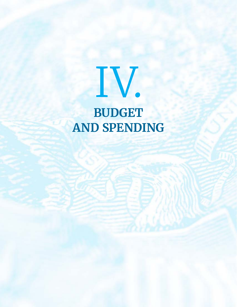# IV. **BUDGET AND SPENDING**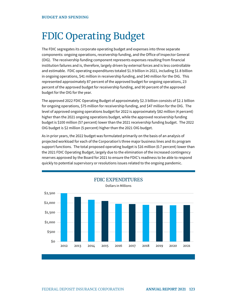### FDIC Operating Budget

The FDIC segregates its corporate operating budget and expenses into three separate components: ongoing operations, receivership funding, and the Office of Inspector General (OIG). The receivership funding component represents expenses resulting from financial institution failures and is, therefore, largely driven by external forces and is less controllable and estimable. FDIC operating expenditures totaled \$1.9 billion in 2021, including \$1.8 billion in ongoing operations, \$41 million in receivership funding, and \$40 million for the OIG. This represented approximately 87 percent of the approved budget for ongoing operations, 23 percent of the approved budget for receivership funding, and 90 percent of the approved budget for the OIG for the year.

The approved 2022 FDIC Operating Budget of approximately \$2.3 billion consists of \$2.1 billion for ongoing operations, \$75 million for receivership funding, and \$47 million for the OIG. The level of approved ongoing operations budget for 2022 is approximately \$82 million (4 percent) higher than the 2021 ongoing operations budget, while the approved receivership funding budget is \$100 million (57 percent) lower than the 2021 receivership funding budget. The 2022 OIG budget is \$2 million (5 percent) higher than the 2021 OIG budget.

As in prior years, the 2022 budget was formulated primarily on the basis of an analysis of projected workload for each of the Corporation's three major business lines and its program support functions. The total proposed operating budget is \$16 million (0.7 percent) lower than the 2021 FDIC Operating Budget, largely due to the elimination of the increased contingency reserves approved by the Board for 2021 to ensure the FDIC's readiness to be able to respond quickly to potential supervisory or resolutions issues related to the ongoing pandemic.

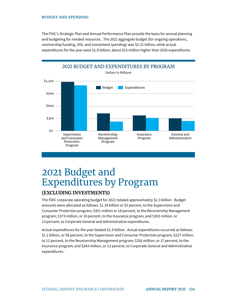#### **BUDGET AND SPENDING**

The FDIC's Strategic Plan and Annual Performance Plan provide the basis for annual planning and budgeting for needed resources. The 2021 aggregate budget (for ongoing operations, receivership funding, OIG, and investment spending) was \$2.31 billion, while actual expenditures for the year were \$1.9 billion, about \$15 million higher than 2020 expenditures.



#### 2021 Budget and Expenditures by Program

#### **(EXCLUDING INVESTMENTS)**

The FDIC corporate operating budget for 2021 totaled approximately \$2.3 billion. Budget amounts were allocated as follows: \$1.18 billion or 52 percent, to the Supervision and Consumer Protection program; \$421 million or 18 percent, to the Receivership Management program; \$373 million, or 16 percent, to the Insurance program; and \$303 million, or 13 percent, to Corporate General and Administrative expenditures.

Actual expenditures for the year totaled \$1.9 billion. Actual expenditures occurred as follows: \$1.1 billion, or 58 percent, to the Supervision and Consumer Protection program; \$227 million, or 12 percent, to the Receivership Management program; \$316 million, or 17 percent, to the Insurance program; and \$243 million, or 13 percent, to Corporate General and Administrative expenditures.